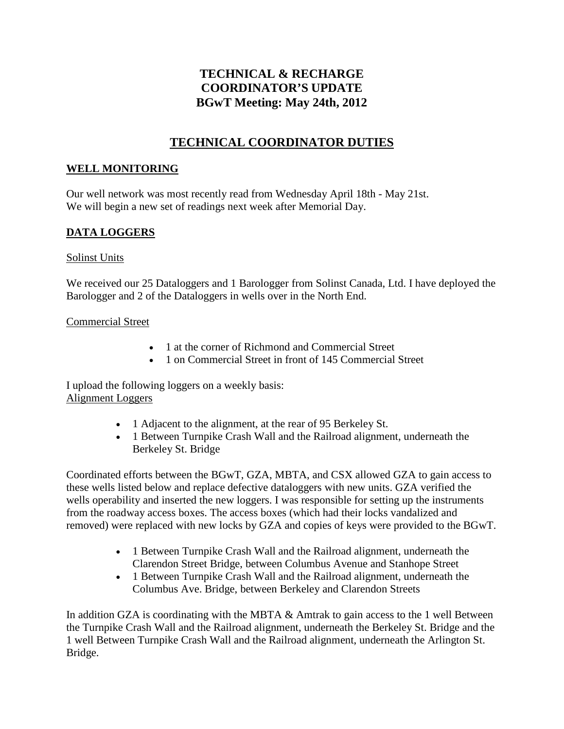# **TECHNICAL & RECHARGE COORDINATOR'S UPDATE BGwT Meeting: May 24th, 2012**

# **TECHNICAL COORDINATOR DUTIES**

### **WELL MONITORING**

Our well network was most recently read from Wednesday April 18th - May 21st. We will begin a new set of readings next week after Memorial Day.

### **DATA LOGGERS**

#### Solinst Units

We received our 25 Dataloggers and 1 Barologger from Solinst Canada, Ltd. I have deployed the Barologger and 2 of the Dataloggers in wells over in the North End.

#### Commercial Street

- 1 at the corner of Richmond and Commercial Street
- 1 on Commercial Street in front of 145 Commercial Street

I upload the following loggers on a weekly basis: Alignment Loggers

- 1 Adjacent to the alignment, at the rear of 95 Berkeley St.
- 1 Between Turnpike Crash Wall and the Railroad alignment, underneath the Berkeley St. Bridge

Coordinated efforts between the BGwT, GZA, MBTA, and CSX allowed GZA to gain access to these wells listed below and replace defective dataloggers with new units. GZA verified the wells operability and inserted the new loggers. I was responsible for setting up the instruments from the roadway access boxes. The access boxes (which had their locks vandalized and removed) were replaced with new locks by GZA and copies of keys were provided to the BGwT.

- 1 Between Turnpike Crash Wall and the Railroad alignment, underneath the Clarendon Street Bridge, between Columbus Avenue and Stanhope Street
- 1 Between Turnpike Crash Wall and the Railroad alignment, underneath the Columbus Ave. Bridge, between Berkeley and Clarendon Streets

In addition GZA is coordinating with the MBTA & Amtrak to gain access to the 1 well Between the Turnpike Crash Wall and the Railroad alignment, underneath the Berkeley St. Bridge and the 1 well Between Turnpike Crash Wall and the Railroad alignment, underneath the Arlington St. Bridge.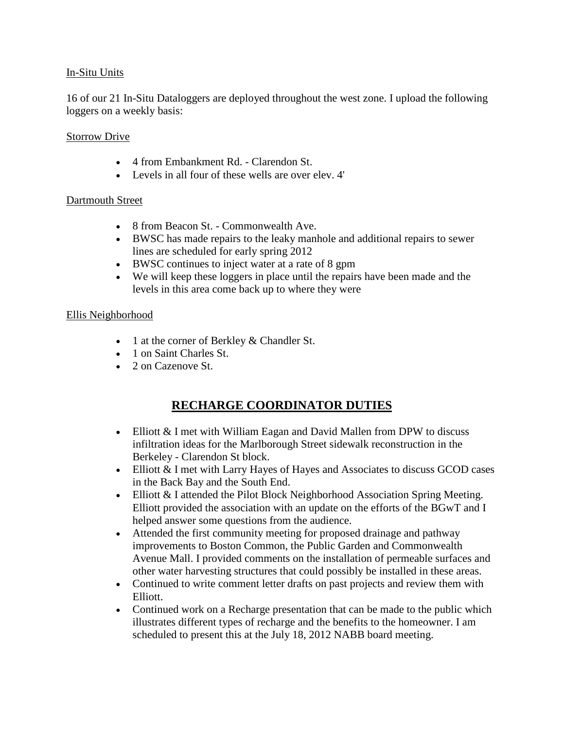#### In-Situ Units

16 of our 21 In-Situ Dataloggers are deployed throughout the west zone. I upload the following loggers on a weekly basis:

#### **Storrow Drive**

- 4 from Embankment Rd. Clarendon St.
- Levels in all four of these wells are over elev. 4'

#### Dartmouth Street

- 8 from Beacon St. Commonwealth Ave.
- BWSC has made repairs to the leaky manhole and additional repairs to sewer lines are scheduled for early spring 2012
- BWSC continues to inject water at a rate of 8 gpm
- We will keep these loggers in place until the repairs have been made and the levels in this area come back up to where they were

#### Ellis Neighborhood

- 1 at the corner of Berkley & Chandler St.
- 1 on Saint Charles St.
- 2 on Cazenove St.

## **RECHARGE COORDINATOR DUTIES**

- Elliott & I met with William Eagan and David Mallen from DPW to discuss infiltration ideas for the Marlborough Street sidewalk reconstruction in the Berkeley - Clarendon St block.
- Elliott & I met with Larry Hayes of Hayes and Associates to discuss GCOD cases in the Back Bay and the South End.
- Elliott & I attended the Pilot Block Neighborhood Association Spring Meeting. Elliott provided the association with an update on the efforts of the BGwT and I helped answer some questions from the audience.
- Attended the first community meeting for proposed drainage and pathway improvements to Boston Common, the Public Garden and Commonwealth Avenue Mall. I provided comments on the installation of permeable surfaces and other water harvesting structures that could possibly be installed in these areas.
- Continued to write comment letter drafts on past projects and review them with Elliott.
- Continued work on a Recharge presentation that can be made to the public which illustrates different types of recharge and the benefits to the homeowner. I am scheduled to present this at the July 18, 2012 NABB board meeting.